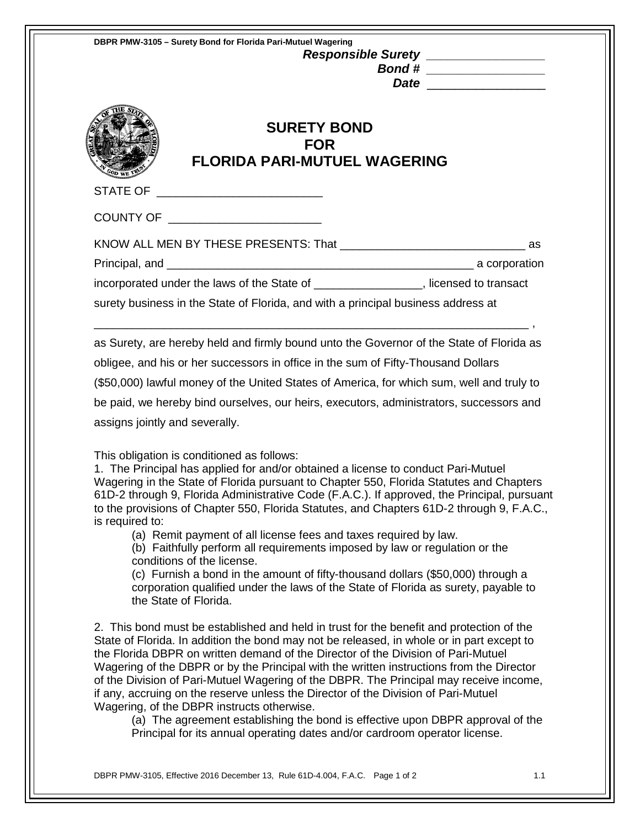| DBPR PMW-3105 - Surety Bond for Florida Pari-Mutuel Wagering<br>Responsible Surety ________________<br>Bond # _________________<br><b>SURETY BOND</b><br><b>FOR</b><br><b>FLORIDA PARI-MUTUEL WAGERING</b>                                                                                                                                                                                                                                                                                                                                                                                                                                                                                                                                                                                                                   |  |  |
|------------------------------------------------------------------------------------------------------------------------------------------------------------------------------------------------------------------------------------------------------------------------------------------------------------------------------------------------------------------------------------------------------------------------------------------------------------------------------------------------------------------------------------------------------------------------------------------------------------------------------------------------------------------------------------------------------------------------------------------------------------------------------------------------------------------------------|--|--|
|                                                                                                                                                                                                                                                                                                                                                                                                                                                                                                                                                                                                                                                                                                                                                                                                                              |  |  |
|                                                                                                                                                                                                                                                                                                                                                                                                                                                                                                                                                                                                                                                                                                                                                                                                                              |  |  |
|                                                                                                                                                                                                                                                                                                                                                                                                                                                                                                                                                                                                                                                                                                                                                                                                                              |  |  |
| incorporated under the laws of the State of _________________, licensed to transact                                                                                                                                                                                                                                                                                                                                                                                                                                                                                                                                                                                                                                                                                                                                          |  |  |
| surety business in the State of Florida, and with a principal business address at                                                                                                                                                                                                                                                                                                                                                                                                                                                                                                                                                                                                                                                                                                                                            |  |  |
| (\$50,000) lawful money of the United States of America, for which sum, well and truly to<br>be paid, we hereby bind ourselves, our heirs, executors, administrators, successors and<br>assigns jointly and severally.                                                                                                                                                                                                                                                                                                                                                                                                                                                                                                                                                                                                       |  |  |
| This obligation is conditioned as follows:<br>1. The Principal has applied for and/or obtained a license to conduct Pari-Mutuel<br>Wagering in the State of Florida pursuant to Chapter 550, Florida Statutes and Chapters<br>61D-2 through 9, Florida Administrative Code (F.A.C.). If approved, the Principal, pursuant<br>to the provisions of Chapter 550, Florida Statutes, and Chapters 61D-2 through 9, F.A.C.,<br>is required to:<br>(a) Remit payment of all license fees and taxes required by law.<br>(b) Faithfully perform all requirements imposed by law or regulation or the<br>conditions of the license.<br>(c) Furnish a bond in the amount of fifty-thousand dollars (\$50,000) through a<br>corporation qualified under the laws of the State of Florida as surety, payable to<br>the State of Florida. |  |  |
| 2. This bond must be established and held in trust for the benefit and protection of the<br>State of Florida. In addition the bond may not be released, in whole or in part except to<br>the Florida DBPR on written demand of the Director of the Division of Pari-Mutuel<br>Wagering of the DBPR or by the Principal with the written instructions from the Director<br>of the Division of Pari-Mutuel Wagering of the DBPR. The Principal may receive income,<br>if any, accruing on the reserve unless the Director of the Division of Pari-Mutuel<br>Wagering, of the DBPR instructs otherwise.<br>(a) The agreement establishing the bond is effective upon DBPR approval of the<br>Principal for its annual operating dates and/or cardroom operator license.                                                         |  |  |